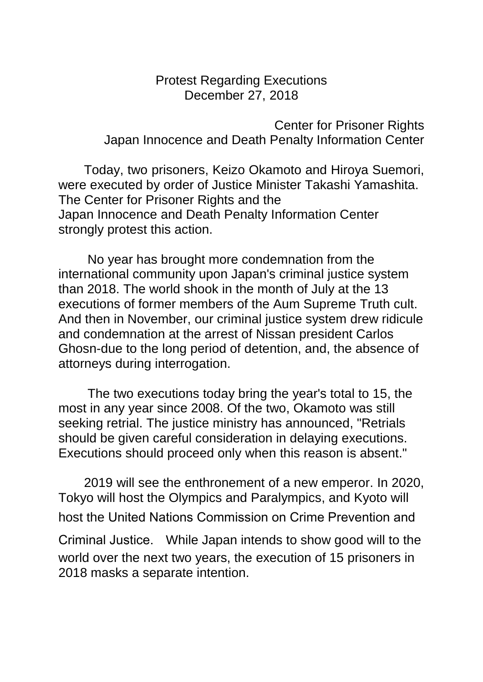## Protest Regarding Executions December 27, 2018

Center for Prisoner Rights Japan Innocence and Death Penalty Information Center

Today, two prisoners, Keizo Okamoto and Hiroya Suemori, were executed by order of Justice Minister Takashi Yamashita. The Center for Prisoner Rights and the Japan Innocence and Death Penalty Information Center strongly protest this action.

No year has brought more condemnation from the international community upon Japan's criminal justice system than 2018. The world shook in the month of July at the 13 executions of former members of the Aum Supreme Truth cult. And then in November, our criminal justice system drew ridicule and condemnation at the arrest of Nissan president Carlos Ghosn-due to the long period of detention, and, the absence of attorneys during interrogation.

The two executions today bring the year's total to 15, the most in any year since 2008. Of the two, Okamoto was still seeking retrial. The justice ministry has announced, "Retrials should be given careful consideration in delaying executions. Executions should proceed only when this reason is absent."

2019 will see the enthronement of a new emperor. In 2020, Tokyo will host the Olympics and Paralympics, and Kyoto will host the United Nations Commission on Crime Prevention and Criminal Justice. While Japan intends to show good will to the world over the next two years, the execution of 15 prisoners in 2018 masks a separate intention.